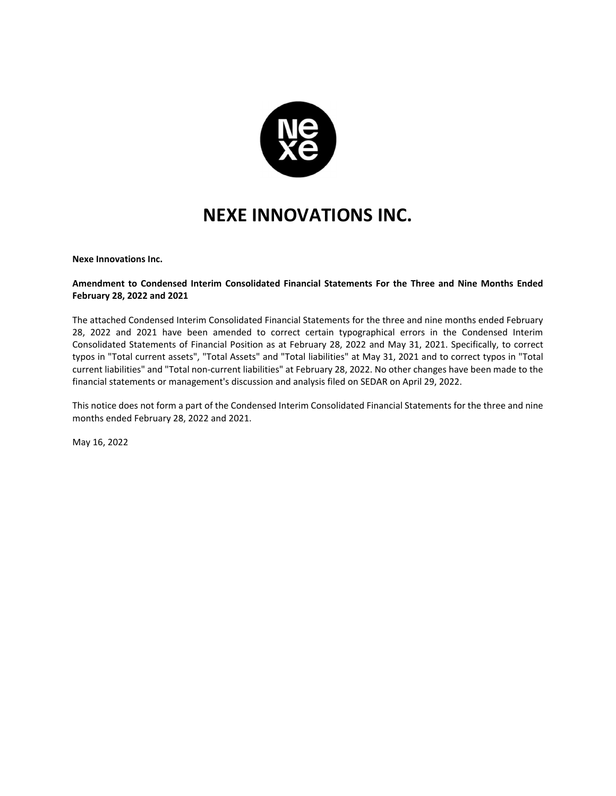

**Nexe Innovations Inc.**

#### **Amendment to Condensed Interim Consolidated Financial Statements For the Three and Nine Months Ended February 28, 2022 and 2021**

The attached Condensed Interim Consolidated Financial Statements for the three and nine months ended February 28, 2022 and 2021 have been amended to correct certain typographical errors in the Condensed Interim Consolidated Statements of Financial Position as at February 28, 2022 and May 31, 2021. Specifically, to correct typos in "Total current assets", "Total Assets" and "Total liabilities" at May 31, 2021 and to correct typos in "Total current liabilities" and "Total non-current liabilities" at February 28, 2022. No other changes have been made to the financial statements or management's discussion and analysis filed on SEDAR on April 29, 2022.

This notice does not form a part of the Condensed Interim Consolidated Financial Statements for the three and nine months ended February 28, 2022 and 2021.

May 16, 2022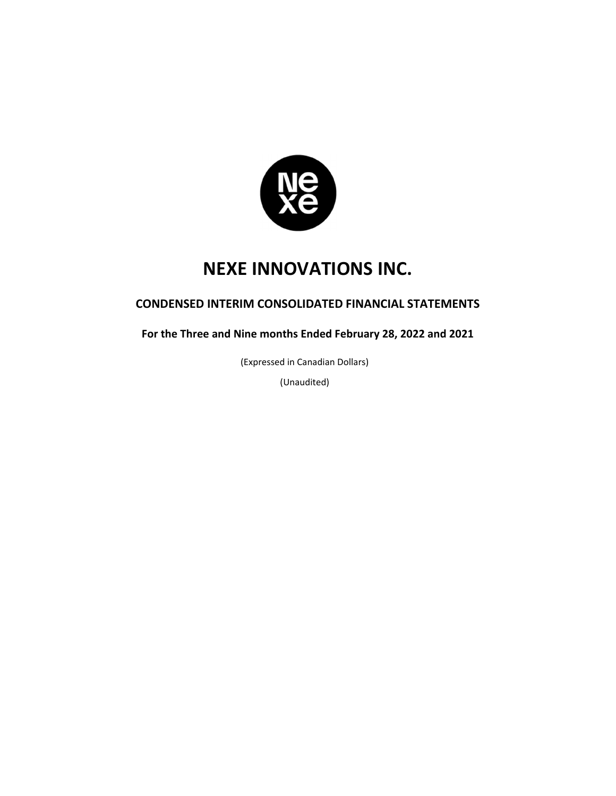

## **CONDENSED INTERIM CONSOLIDATED FINANCIAL STATEMENTS**

**For the Three and Nine months Ended February 28, 2022 and 2021** 

(Expressed in Canadian Dollars)

(Unaudited)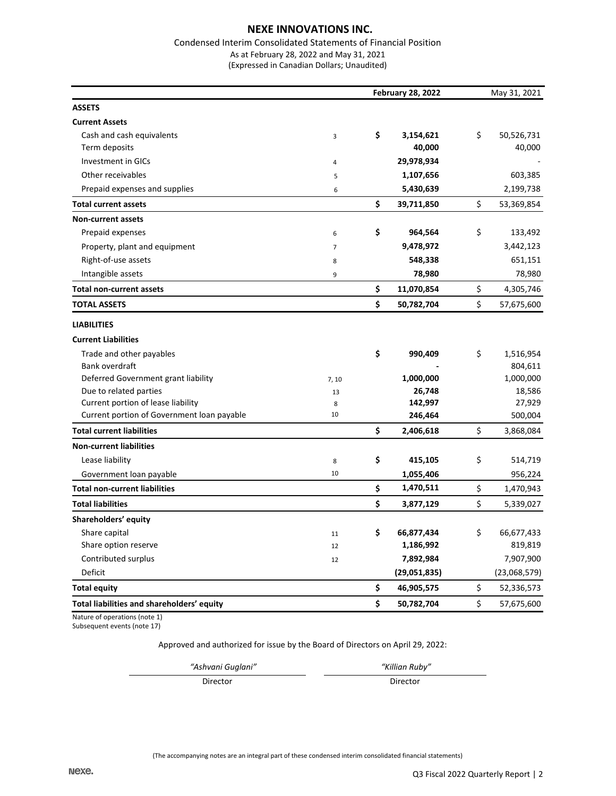#### Condensed Interim Consolidated Statements of Financial Position As at February 28, 2022 and May 31, 2021

(Expressed in Canadian Dollars; Unaudited)

|                                            | <b>February 28, 2022</b> | May 31, 2021     |    |              |
|--------------------------------------------|--------------------------|------------------|----|--------------|
| <b>ASSETS</b>                              |                          |                  |    |              |
| <b>Current Assets</b>                      |                          |                  |    |              |
| Cash and cash equivalents                  | 3                        | \$<br>3,154,621  | \$ | 50,526,731   |
| Term deposits                              |                          | 40,000           |    | 40,000       |
| Investment in GICs                         | $\sqrt{4}$               | 29,978,934       |    |              |
| Other receivables                          | 5                        | 1,107,656        |    | 603,385      |
| Prepaid expenses and supplies              | 6                        | 5,430,639        |    | 2,199,738    |
| <b>Total current assets</b>                |                          | \$<br>39,711,850 | \$ | 53,369,854   |
| <b>Non-current assets</b>                  |                          |                  |    |              |
| Prepaid expenses                           | 6                        | \$<br>964,564    | \$ | 133,492      |
| Property, plant and equipment              | $\overline{7}$           | 9,478,972        |    | 3,442,123    |
| Right-of-use assets                        | 8                        | 548,338          |    | 651,151      |
| Intangible assets                          | 9                        | 78,980           |    | 78,980       |
| <b>Total non-current assets</b>            |                          | \$<br>11,070,854 | \$ | 4,305,746    |
| <b>TOTAL ASSETS</b>                        |                          | \$<br>50,782,704 | \$ | 57,675,600   |
| <b>LIABILITIES</b>                         |                          |                  |    |              |
| <b>Current Liabilities</b>                 |                          |                  |    |              |
| Trade and other payables                   |                          | \$<br>990,409    | \$ | 1,516,954    |
| Bank overdraft                             |                          |                  |    | 804,611      |
| Deferred Government grant liability        | 7,10                     | 1,000,000        |    | 1,000,000    |
| Due to related parties                     | 13                       | 26,748           |    | 18,586       |
| Current portion of lease liability         | 8                        | 142,997          |    | 27,929       |
| Current portion of Government loan payable | 10                       | 246,464          |    | 500,004      |
| <b>Total current liabilities</b>           |                          | \$<br>2,406,618  | \$ | 3,868,084    |
| <b>Non-current liabilities</b>             |                          |                  |    |              |
| Lease liability                            | 8                        | \$<br>415,105    | \$ | 514,719      |
| Government loan payable                    | 10                       | 1,055,406        |    | 956,224      |
| <b>Total non-current liabilities</b>       |                          | \$<br>1,470,511  | \$ | 1,470,943    |
| <b>Total liabilities</b>                   |                          | \$<br>3,877,129  | \$ | 5,339,027    |
| Shareholders' equity                       |                          |                  |    |              |
| Share capital                              | 11                       | \$<br>66,877,434 | \$ | 66,677,433   |
| Share option reserve                       | 12                       | 1,186,992        |    | 819,819      |
| Contributed surplus                        | 12                       | 7,892,984        |    | 7,907,900    |
| Deficit                                    |                          | (29,051,835)     |    | (23,068,579) |
| <b>Total equity</b>                        |                          | \$<br>46,905,575 | \$ | 52,336,573   |
| Total liabilities and shareholders' equity |                          | \$<br>50,782,704 | \$ | 57,675,600   |

Nature of operations (note 1) Subsequent events (note 17)

Approved and authorized for issue by the Board of Directors on April 29, 2022:

*"Ashvani Guglani" "Killian Ruby"* 

Director Director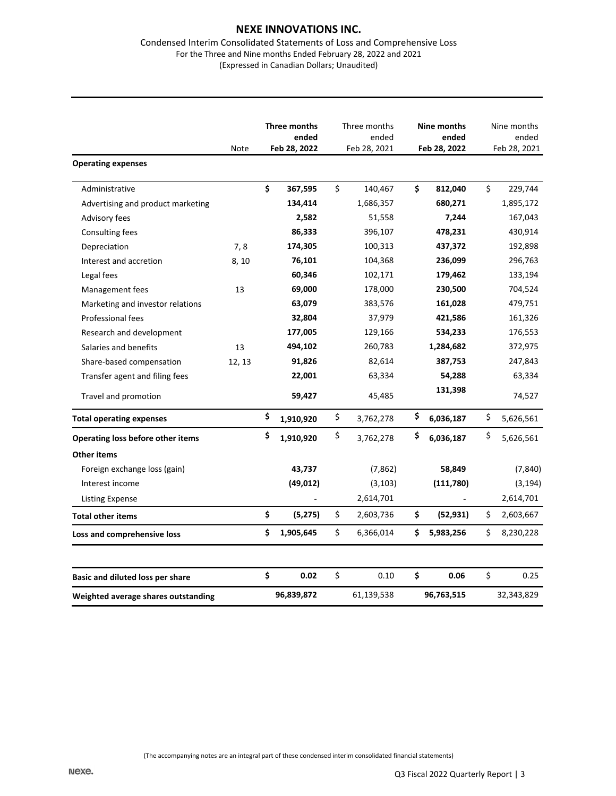#### Condensed Interim Consolidated Statements of Loss and Comprehensive Loss For the Three and Nine months Ended February 28, 2022 and 2021 (Expressed in Canadian Dollars; Unaudited)

|                                     | Note   | Three months<br>ended<br>Feb 28, 2022 | Three months<br>ended<br>Feb 28, 2021 | Nine months<br>ended<br>Feb 28, 2022 |    | Nine months<br>ended<br>Feb 28, 2021 |
|-------------------------------------|--------|---------------------------------------|---------------------------------------|--------------------------------------|----|--------------------------------------|
| <b>Operating expenses</b>           |        |                                       |                                       |                                      |    |                                      |
| Administrative                      |        | \$<br>367,595                         | \$<br>140,467                         | \$<br>812,040                        | \$ | 229,744                              |
| Advertising and product marketing   |        | 134,414                               | 1,686,357                             | 680,271                              |    | 1,895,172                            |
| Advisory fees                       |        | 2,582                                 | 51,558                                | 7,244                                |    | 167,043                              |
| Consulting fees                     |        | 86,333                                | 396,107                               | 478,231                              |    | 430,914                              |
| Depreciation                        | 7,8    | 174,305                               | 100,313                               | 437,372                              |    | 192,898                              |
| Interest and accretion              | 8,10   | 76,101                                | 104,368                               | 236,099                              |    | 296,763                              |
| Legal fees                          |        | 60,346                                | 102,171                               | 179,462                              |    | 133,194                              |
| Management fees                     | 13     | 69,000                                | 178,000                               | 230,500                              |    | 704,524                              |
| Marketing and investor relations    |        | 63,079                                | 383,576                               | 161,028                              |    | 479,751                              |
| Professional fees                   |        | 32,804                                | 37,979                                | 421,586                              |    | 161,326                              |
| Research and development            |        | 177,005                               | 129,166                               | 534,233                              |    | 176,553                              |
| Salaries and benefits               | 13     | 494,102                               | 260,783                               | 1,284,682                            |    | 372,975                              |
| Share-based compensation            | 12, 13 | 91,826                                | 82,614                                | 387,753                              |    | 247,843                              |
| Transfer agent and filing fees      |        | 22,001                                | 63,334                                | 54,288                               |    | 63,334                               |
| Travel and promotion                |        | 59,427                                | 45,485                                | 131,398                              |    | 74,527                               |
| <b>Total operating expenses</b>     |        | \$<br>1,910,920                       | \$<br>3,762,278                       | \$<br>6,036,187                      | \$ | 5,626,561                            |
| Operating loss before other items   |        | \$<br>1,910,920                       | \$<br>3,762,278                       | \$<br>6,036,187                      | \$ | 5,626,561                            |
| <b>Other items</b>                  |        |                                       |                                       |                                      |    |                                      |
| Foreign exchange loss (gain)        |        | 43,737                                | (7,862)                               | 58,849                               |    | (7, 840)                             |
| Interest income                     |        | (49, 012)                             | (3, 103)                              | (111,780)                            |    | (3, 194)                             |
| Listing Expense                     |        | $\overline{\phantom{a}}$              | 2,614,701                             |                                      |    | 2,614,701                            |
| <b>Total other items</b>            |        | \$<br>(5,275)                         | \$<br>2,603,736                       | \$<br>(52, 931)                      | \$ | 2,603,667                            |
| Loss and comprehensive loss         |        | \$<br>1,905,645                       | \$<br>6,366,014                       | \$<br>5,983,256                      | \$ | 8,230,228                            |
| Basic and diluted loss per share    |        | \$<br>0.02                            | \$<br>0.10                            | \$<br>0.06                           | \$ | 0.25                                 |
| Weighted average shares outstanding |        | 96,839,872                            | 61,139,538                            | 96,763,515                           |    | 32,343,829                           |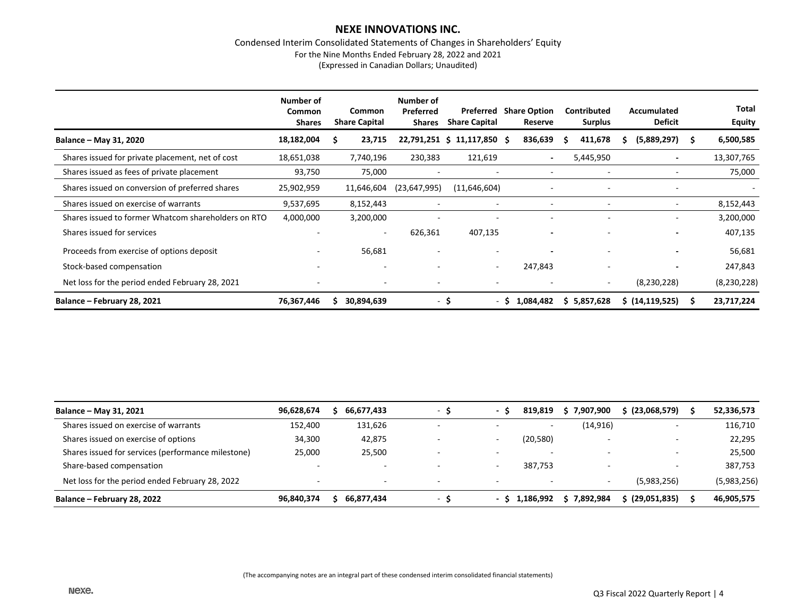#### Condensed Interim Consolidated Statements of Changes in Shareholders' Equity For the Nine Months Ended February 28, 2022 and 2021 (Expressed in Canadian Dollars; Unaudited)

|                                                     | Number of<br><b>Common</b><br><b>Shares</b> | Common<br><b>Share Capital</b> | Number of<br>Preferred<br><b>Shares</b> | Preferred<br><b>Share Capital</b> | <b>Share Option</b><br>Reserve | <b>Contributed</b><br><b>Surplus</b> | Accumulated<br><b>Deficit</b> | Total<br><b>Equity</b> |
|-----------------------------------------------------|---------------------------------------------|--------------------------------|-----------------------------------------|-----------------------------------|--------------------------------|--------------------------------------|-------------------------------|------------------------|
| Balance – May 31, 2020                              | 18,182,004                                  | 23,715<br>s                    |                                         | 22,791,251 \$ 11,117,850 \$       | 836,639                        | 411,678                              | (5,889,297)                   | 6,500,585<br>S         |
| Shares issued for private placement, net of cost    | 18,651,038                                  | 7,740,196                      | 230,383                                 | 121,619                           | $\overline{\phantom{a}}$       | 5,445,950                            | -                             | 13,307,765             |
| Shares issued as fees of private placement          | 93,750                                      | 75,000                         | ٠                                       | $\overline{\phantom{a}}$          | $\overline{\phantom{0}}$       |                                      | ۰                             | 75,000                 |
| Shares issued on conversion of preferred shares     | 25,902,959                                  | 11,646,604                     | (23, 647, 995)                          | (11,646,604)                      |                                |                                      | -                             |                        |
| Shares issued on exercise of warrants               | 9,537,695                                   | 8,152,443                      |                                         |                                   |                                |                                      | -                             | 8,152,443              |
| Shares issued to former Whatcom shareholders on RTO | 4,000,000                                   | 3,200,000                      |                                         |                                   |                                |                                      | ٠                             | 3,200,000              |
| Shares issued for services                          |                                             | $\sim$                         | 626,361                                 | 407,135                           |                                |                                      | -                             | 407,135                |
| Proceeds from exercise of options deposit           | ٠                                           | 56,681                         | ٠                                       | $\overline{\phantom{a}}$          | $\overline{\phantom{a}}$       | $\overline{\phantom{a}}$             | -                             | 56,681                 |
| Stock-based compensation                            |                                             |                                |                                         | $\sim$                            | 247,843                        |                                      |                               | 247,843                |
| Net loss for the period ended February 28, 2021     |                                             |                                | $\overline{\phantom{a}}$                | $\overline{\phantom{a}}$          |                                | $\overline{\phantom{a}}$             | (8,230,228)                   | (8,230,228)            |
| Balance - February 28, 2021                         | 76,367,446                                  | 30,894,639<br>S.               | $\sim$                                  | Ŝ.                                | 1,084,482<br>- S               | \$5,857,628                          | $\sin(14, 119, 525)$          | 23,717,224             |

| Balance - May 31, 2021                             | 96,628,674 | 66,677,433               | - 5                      | $\sim$ | 819.819   | \$7,907,900 | \$ (23,068,579) | 52,336,573  |
|----------------------------------------------------|------------|--------------------------|--------------------------|--------|-----------|-------------|-----------------|-------------|
| Shares issued on exercise of warrants              | 152.400    | 131,626                  |                          |        |           | (14, 916)   |                 | 116,710     |
| Shares issued on exercise of options               | 34,300     | 42,875                   |                          | -      | (20, 580) |             |                 | 22,295      |
| Shares issued for services (performance milestone) | 25.000     | 25,500                   | . .                      | -      | -         | -           |                 | 25,500      |
| Share-based compensation                           |            |                          |                          |        | 387,753   |             |                 | 387,753     |
| Net loss for the period ended February 28, 2022    |            | $\overline{\phantom{a}}$ | $\overline{\phantom{0}}$ | -      |           |             | (5,983,256)     | (5,983,256) |
| Balance – February 28, 2022                        | 96,840,374 | 66,877,434               | $\overline{\phantom{a}}$ | - s    | 1,186,992 | \$7,892,984 | (29,051,835)    | 46,905,575  |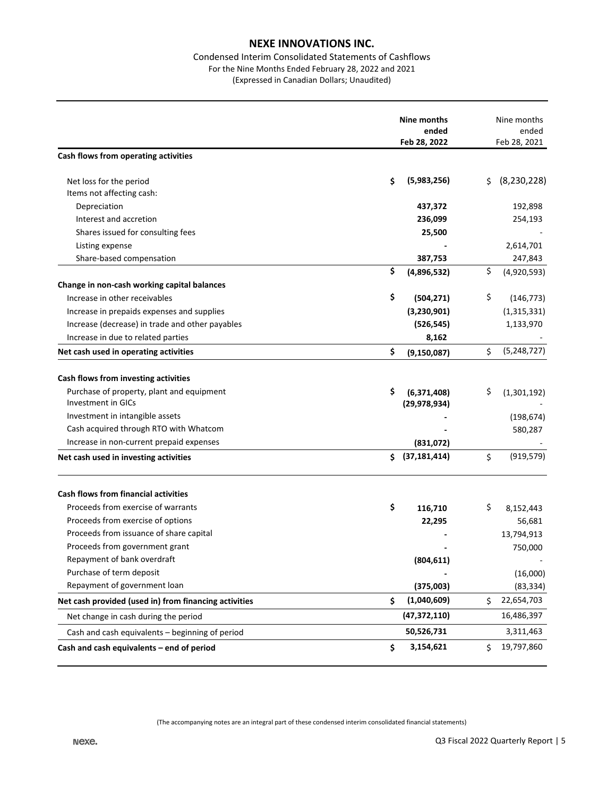## Condensed Interim Consolidated Statements of Cashflows For the Nine Months Ended February 28, 2022 and 2021 (Expressed in Canadian Dollars; Unaudited)

|                                                       |    | Nine months<br>ended |    | Nine months<br>ended |
|-------------------------------------------------------|----|----------------------|----|----------------------|
|                                                       |    | Feb 28, 2022         |    | Feb 28, 2021         |
| Cash flows from operating activities                  |    |                      |    |                      |
| Net loss for the period                               | Ś  | (5,983,256)          | \$ | (8, 230, 228)        |
| Items not affecting cash:                             |    |                      |    |                      |
| Depreciation                                          |    | 437,372              |    | 192,898              |
| Interest and accretion                                |    | 236,099              |    | 254,193              |
| Shares issued for consulting fees                     |    | 25,500               |    |                      |
| Listing expense                                       |    |                      |    | 2,614,701            |
| Share-based compensation                              |    | 387,753              |    | 247,843              |
|                                                       | \$ | (4,896,532)          | \$ | (4,920,593)          |
| Change in non-cash working capital balances           |    |                      |    |                      |
| Increase in other receivables                         | \$ | (504, 271)           | \$ | (146, 773)           |
| Increase in prepaids expenses and supplies            |    | (3, 230, 901)        |    | (1,315,331)          |
| Increase (decrease) in trade and other payables       |    | (526, 545)           |    | 1,133,970            |
| Increase in due to related parties                    |    | 8,162                |    |                      |
| Net cash used in operating activities                 | \$ | (9, 150, 087)        | \$ | (5, 248, 727)        |
| Cash flows from investing activities                  |    |                      |    |                      |
| Purchase of property, plant and equipment             | \$ | (6, 371, 408)        | \$ | (1,301,192)          |
| <b>Investment in GICs</b>                             |    | (29, 978, 934)       |    |                      |
| Investment in intangible assets                       |    |                      |    | (198, 674)           |
| Cash acquired through RTO with Whatcom                |    |                      |    | 580,287              |
| Increase in non-current prepaid expenses              |    | (831,072)            |    |                      |
| Net cash used in investing activities                 | Ś. | (37, 181, 414)       | \$ | (919, 579)           |
| <b>Cash flows from financial activities</b>           |    |                      |    |                      |
| Proceeds from exercise of warrants                    | \$ | 116,710              | \$ | 8,152,443            |
| Proceeds from exercise of options                     |    | 22,295               |    | 56,681               |
| Proceeds from issuance of share capital               |    |                      |    | 13,794,913           |
| Proceeds from government grant                        |    |                      |    | 750,000              |
| Repayment of bank overdraft                           |    | (804, 611)           |    |                      |
| Purchase of term deposit                              |    |                      |    | (16,000)             |
| Repayment of government loan                          |    | (375,003)            |    | (83, 334)            |
| Net cash provided (used in) from financing activities | Ś  | (1,040,609)          | Ś. | 22,654,703           |
| Net change in cash during the period                  |    | (47, 372, 110)       |    | 16,486,397           |
| Cash and cash equivalents - beginning of period       |    | 50,526,731           |    | 3,311,463            |
| Cash and cash equivalents - end of period             | \$ | 3,154,621            | \$ | 19,797,860           |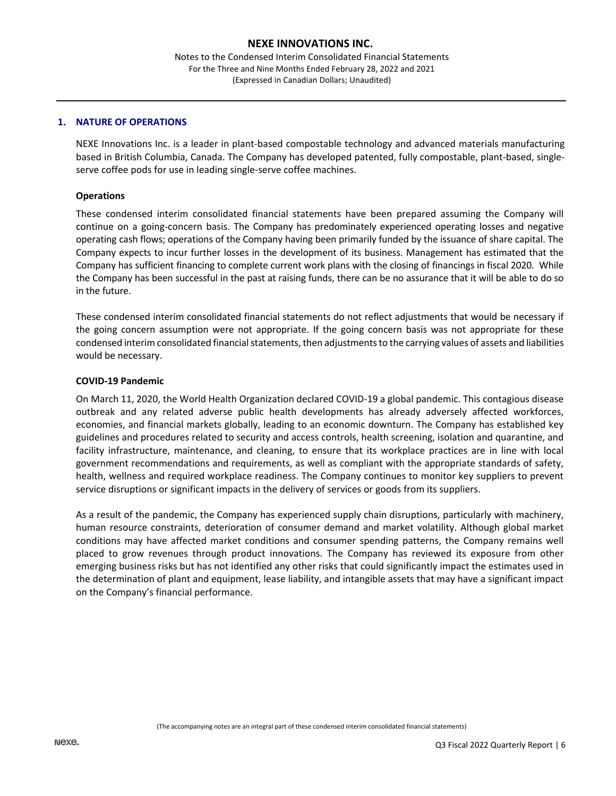Notes to the Condensed Interim Consolidated Financial Statements For the Three and Nine Months Ended February 28, 2022 and 2021 (Expressed in Canadian Dollars; Unaudited)

#### **1. NATURE OF OPERATIONS**

NEXE Innovations Inc. is a leader in plant-based compostable technology and advanced materials manufacturing based in British Columbia, Canada. The Company has developed patented, fully compostable, plant-based, singleserve coffee pods for use in leading single-serve coffee machines.

#### **Operations**

These condensed interim consolidated financial statements have been prepared assuming the Company will continue on a going-concern basis. The Company has predominately experienced operating losses and negative operating cash flows; operations of the Company having been primarily funded by the issuance of share capital. The Company expects to incur further losses in the development of its business. Management has estimated that the Company has sufficient financing to complete current work plans with the closing of financings in fiscal 2020. While the Company has been successful in the past at raising funds, there can be no assurance that it will be able to do so in the future.

These condensed interim consolidated financial statements do not reflect adjustments that would be necessary if the going concern assumption were not appropriate. If the going concern basis was not appropriate for these condensed interim consolidated financial statements, then adjustments to the carrying values of assets and liabilities would be necessary.

#### **COVID-19 Pandemic**

On March 11, 2020, the World Health Organization declared COVID-19 a global pandemic. This contagious disease outbreak and any related adverse public health developments has already adversely affected workforces, economies, and financial markets globally, leading to an economic downturn. The Company has established key guidelines and procedures related to security and access controls, health screening, isolation and quarantine, and facility infrastructure, maintenance, and cleaning, to ensure that its workplace practices are in line with local government recommendations and requirements, as well as compliant with the appropriate standards of safety, health, wellness and required workplace readiness. The Company continues to monitor key suppliers to prevent service disruptions or significant impacts in the delivery of services or goods from its suppliers.

As a result of the pandemic, the Company has experienced supply chain disruptions, particularly with machinery, human resource constraints, deterioration of consumer demand and market volatility. Although global market conditions may have affected market conditions and consumer spending patterns, the Company remains well placed to grow revenues through product innovations. The Company has reviewed its exposure from other emerging business risks but has not identified any other risks that could significantly impact the estimates used in the determination of plant and equipment, lease liability, and intangible assets that may have a significant impact on the Company's financial performance.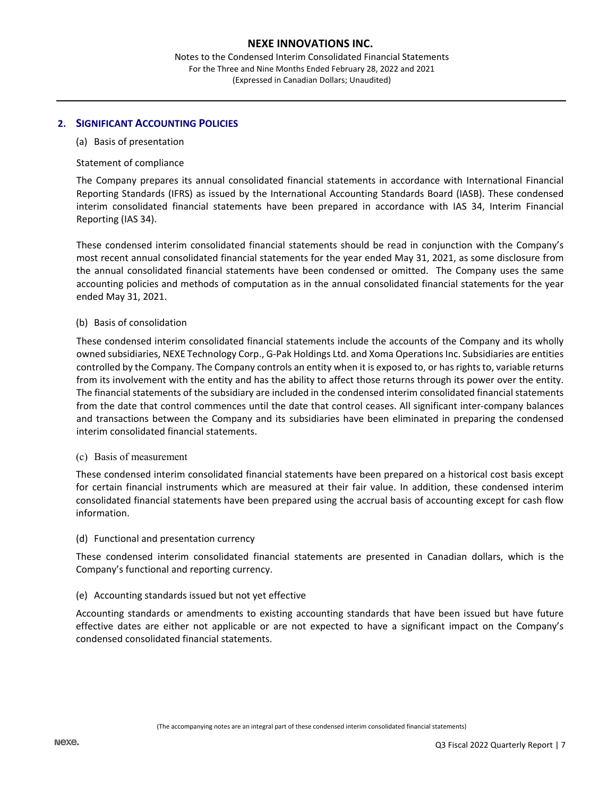Notes to the Condensed Interim Consolidated Financial Statements For the Three and Nine Months Ended February 28, 2022 and 2021 (Expressed in Canadian Dollars; Unaudited)

## **2. SIGNIFICANT ACCOUNTING POLICIES**

#### (a) Basis of presentation

#### Statement of compliance

The Company prepares its annual consolidated financial statements in accordance with International Financial Reporting Standards (IFRS) as issued by the International Accounting Standards Board (IASB). These condensed interim consolidated financial statements have been prepared in accordance with IAS 34, Interim Financial Reporting (IAS 34).

These condensed interim consolidated financial statements should be read in conjunction with the Company's most recent annual consolidated financial statements for the year ended May 31, 2021, as some disclosure from the annual consolidated financial statements have been condensed or omitted. The Company uses the same accounting policies and methods of computation as in the annual consolidated financial statements for the year ended May 31, 2021.

#### (b) Basis of consolidation

These condensed interim consolidated financial statements include the accounts of the Company and its wholly owned subsidiaries, NEXE Technology Corp., G-Pak Holdings Ltd. and Xoma Operations Inc. Subsidiaries are entities controlled by the Company. The Company controls an entity when it is exposed to, or has rights to, variable returns from its involvement with the entity and has the ability to affect those returns through its power over the entity. The financial statements of the subsidiary are included in the condensed interim consolidated financial statements from the date that control commences until the date that control ceases. All significant inter-company balances and transactions between the Company and its subsidiaries have been eliminated in preparing the condensed interim consolidated financial statements.

#### (c) Basis of measurement

These condensed interim consolidated financial statements have been prepared on a historical cost basis except for certain financial instruments which are measured at their fair value. In addition, these condensed interim consolidated financial statements have been prepared using the accrual basis of accounting except for cash flow information.

#### (d) Functional and presentation currency

These condensed interim consolidated financial statements are presented in Canadian dollars, which is the Company's functional and reporting currency.

## (e) Accounting standards issued but not yet effective

Accounting standards or amendments to existing accounting standards that have been issued but have future effective dates are either not applicable or are not expected to have a significant impact on the Company's condensed consolidated financial statements.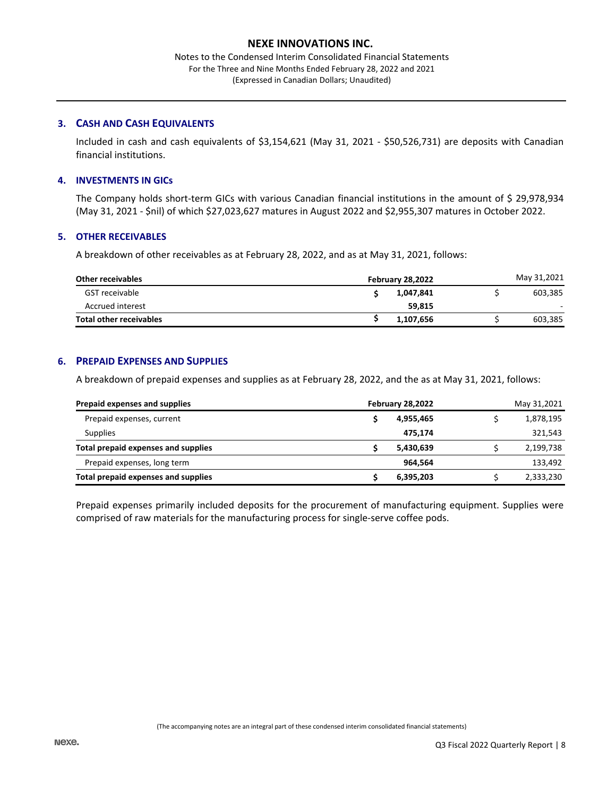Notes to the Condensed Interim Consolidated Financial Statements For the Three and Nine Months Ended February 28, 2022 and 2021 (Expressed in Canadian Dollars; Unaudited)

## **3. CASH AND CASH EQUIVALENTS**

Included in cash and cash equivalents of \$3,154,621 (May 31, 2021 - \$50,526,731) are deposits with Canadian financial institutions.

## **4. INVESTMENTS IN GICs**

The Company holds short-term GICs with various Canadian financial institutions in the amount of \$ 29,978,934 (May 31, 2021 - \$nil) of which \$27,023,627 matures in August 2022 and \$2,955,307 matures in October 2022.

#### **5. OTHER RECEIVABLES**

A breakdown of other receivables as at February 28, 2022, and as at May 31, 2021, follows:

| <b>Other receivables</b> | <b>February 28,2022</b> |  |         |  |  |
|--------------------------|-------------------------|--|---------|--|--|
| GST receivable           | 1,047,841               |  | 603.385 |  |  |
| Accrued interest         | 59.815                  |  | ۰.      |  |  |
| Total other receivables  | 1,107,656               |  | 603,385 |  |  |

## **6. PREPAID EXPENSES AND SUPPLIES**

A breakdown of prepaid expenses and supplies as at February 28, 2022, and the as at May 31, 2021, follows:

| Prepaid expenses and supplies       | February 28,2022 |  |           |  |
|-------------------------------------|------------------|--|-----------|--|
| Prepaid expenses, current           | 4,955,465        |  | 1,878,195 |  |
| <b>Supplies</b>                     | 475,174          |  | 321,543   |  |
| Total prepaid expenses and supplies | 5,430,639        |  | 2,199,738 |  |
| Prepaid expenses, long term         | 964.564          |  | 133,492   |  |
| Total prepaid expenses and supplies | 6,395,203        |  | 2,333,230 |  |

Prepaid expenses primarily included deposits for the procurement of manufacturing equipment. Supplies were comprised of raw materials for the manufacturing process for single-serve coffee pods.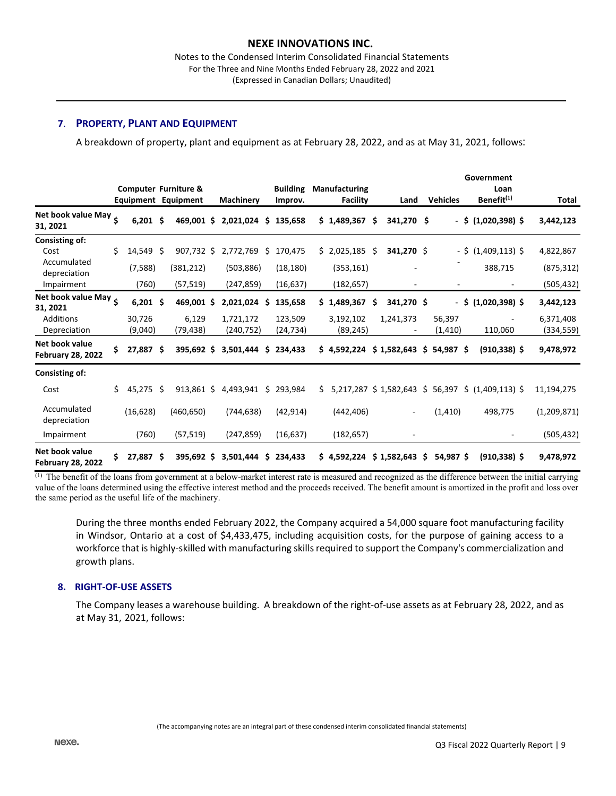Notes to the Condensed Interim Consolidated Financial Statements For the Three and Nine Months Ended February 28, 2022 and 2021 (Expressed in Canadian Dollars; Unaudited)

## **7**. **PROPERTY, PLANT AND EQUIPMENT**

A breakdown of property, plant and equipment as at February 28, 2022, and as at May 31, 2021, follows:

|                                            |     |                   |     |                                                        |                          |     |                            |    |                                         |     |                 |     |                    | Government                                         |                          |
|--------------------------------------------|-----|-------------------|-----|--------------------------------------------------------|--------------------------|-----|----------------------------|----|-----------------------------------------|-----|-----------------|-----|--------------------|----------------------------------------------------|--------------------------|
|                                            |     |                   |     | <b>Computer Furniture &amp;</b><br>Equipment Equipment | Machinery                |     | <b>Building</b><br>Improv. |    | <b>Manufacturing</b><br><b>Facility</b> |     | Land            |     | <b>Vehicles</b>    | Loan<br>Benefit <sup>(1)</sup>                     | Total                    |
| Net book value May 5<br>31, 2021           |     | $6,201$ \$        |     | 469,001 \$                                             | $2,021,024$ \$           |     | 135,658                    |    | \$1,489,367                             | Ŝ   | 341,270 \$      |     |                    | $-$ \$ (1,020,398) \$                              | 3,442,123                |
| Consisting of:<br>Cost<br>Accumulated      | Ś.  | 14,549            | Ŝ.  | 907,732 \$                                             | 2,772,769                | -\$ | 170,475                    |    | \$2,025,185                             | \$. | 341,270 \$      |     |                    | $-$ \$ (1,409,113) \$                              | 4,822,867                |
| depreciation<br>Impairment                 |     | (7, 588)<br>(760) |     | (381, 212)<br>(57, 519)                                | (503, 886)<br>(247, 859) |     | (18, 180)<br>(16, 637)     |    | (353, 161)<br>(182, 657)                |     |                 |     |                    | 388,715                                            | (875, 312)<br>(505, 432) |
| Net book value May $\zeta$<br>31, 2021     |     | 6,201             | .\$ | 469,001 \$                                             | 2,021,024                | \$. | 135,658                    | Ś. | 1,489,367                               | \$. | 341,270 \$      |     | - \$               | $(1,020,398)$ \$                                   | 3,442,123                |
| <b>Additions</b><br>Depreciation           |     | 30,726<br>(9,040) |     | 6,129<br>(79, 438)                                     | 1,721,172<br>(240,752)   |     | 123,509<br>(24,734)        |    | 3,192,102<br>(89, 245)                  |     | 1,241,373       |     | 56,397<br>(1, 410) | 110,060                                            | 6,371,408<br>(334,559)   |
| Net book value<br><b>February 28, 2022</b> | \$  | 27,887 \$         |     | 395,692 \$                                             | 3,501,444                | \$  | 234,433                    |    | \$4,592,224                             |     | $$1,582,643$ \$ |     | 54,987 \$          | $(910, 338)$ \$                                    | 9,478,972                |
| Consisting of:                             |     |                   |     |                                                        |                          |     |                            |    |                                         |     |                 |     |                    |                                                    |                          |
| Cost                                       | Ś.  | 45,275            | Š.  | $913,861$ \$                                           | 4,493,941                | \$  | 293,984                    | Ś. |                                         |     |                 |     |                    | 5,217,287 \$ 1,582,643 \$ 56,397 \$ (1,409,113) \$ | 11,194,275               |
| Accumulated<br>depreciation                |     | (16, 628)         |     | (460, 650)                                             | (744, 638)               |     | (42, 914)                  |    | (442, 406)                              |     |                 |     | (1, 410)           | 498,775                                            | (1,209,871)              |
| Impairment                                 |     | (760)             |     | (57, 519)                                              | (247, 859)               |     | (16, 637)                  |    | (182, 657)                              |     |                 |     |                    |                                                    | (505, 432)               |
| Net book value<br><b>February 28, 2022</b> | \$. | 27,887            | Ŝ   | 395,692 \$                                             | 3,501,444                | \$  | 234.433                    |    | \$4,592,224                             |     | \$1,582,643     | \$. | 54,987 \$          | $(910, 338)$ \$                                    | 9,478,972                |

(1) The benefit of the loans from government at a below-market interest rate is measured and recognized as the difference between the initial carrying value of the loans determined using the effective interest method and the proceeds received. The benefit amount is amortized in the profit and loss over the same period as the useful life of the machinery.

During the three months ended February 2022, the Company acquired a 54,000 square foot manufacturing facility in Windsor, Ontario at a cost of \$4,433,475, including acquisition costs, for the purpose of gaining access to a workforce that is highly-skilled with manufacturing skills required to support the Company's commercialization and growth plans.

#### **8. RIGHT-OF-USE ASSETS**

The Company leases a warehouse building. A breakdown of the right-of-use assets as at February 28, 2022, and as at May 31, 2021, follows: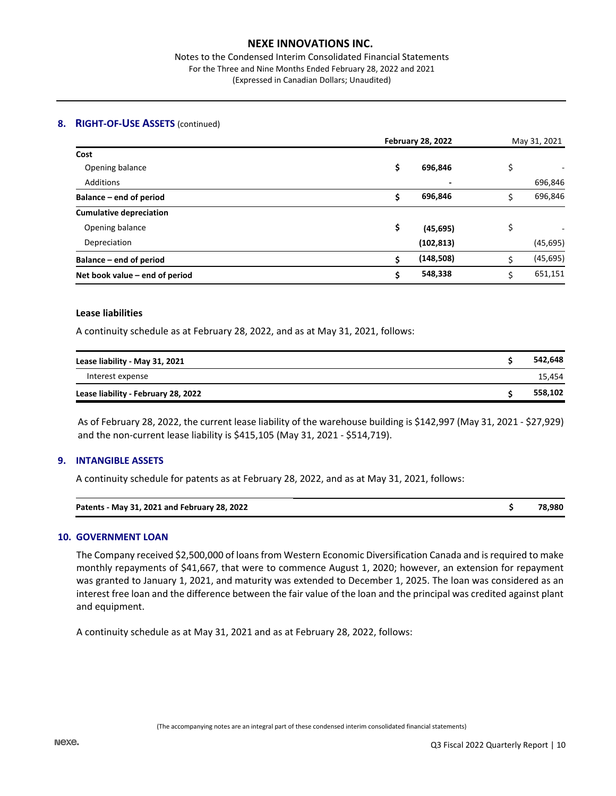Notes to the Condensed Interim Consolidated Financial Statements For the Three and Nine Months Ended February 28, 2022 and 2021 (Expressed in Canadian Dollars; Unaudited)

#### **8. RIGHT-OF-USE ASSETS** (continued)

|                                | <b>February 28, 2022</b> | May 31, 2021 |    |           |
|--------------------------------|--------------------------|--------------|----|-----------|
| Cost                           |                          |              |    |           |
| Opening balance                | \$                       | 696,846      | \$ |           |
| <b>Additions</b>               |                          |              |    | 696,846   |
| Balance – end of period        |                          | 696,846      | \$ | 696,846   |
| <b>Cumulative depreciation</b> |                          |              |    |           |
| Opening balance                | \$                       | (45, 695)    | \$ |           |
| Depreciation                   |                          | (102, 813)   |    | (45, 695) |
| Balance – end of period        | ċ                        | (148, 508)   | ς  | (45, 695) |
| Net book value – end of period | S                        | 548,338      | Ś  | 651,151   |

#### **Lease liabilities**

A continuity schedule as at February 28, 2022, and as at May 31, 2021, follows:

| Lease liability - May 31, 2021      | 542.648 |
|-------------------------------------|---------|
| Interest expense                    | 15,454  |
| Lease liability - February 28, 2022 | 558,102 |

As of February 28, 2022, the current lease liability of the warehouse building is \$142,997 (May 31, 2021 - \$27,929) and the non-current lease liability is \$415,105 (May 31, 2021 - \$514,719).

## **9. INTANGIBLE ASSETS**

A continuity schedule for patents as at February 28, 2022, and as at May 31, 2021, follows:

| Patents - May 31, 2021 and February 28, 2022 | 78,980 |
|----------------------------------------------|--------|
|                                              |        |

#### **10. GOVERNMENT LOAN**

The Company received \$2,500,000 of loans from Western Economic Diversification Canada and is required to make monthly repayments of \$41,667, that were to commence August 1, 2020; however, an extension for repayment was granted to January 1, 2021, and maturity was extended to December 1, 2025. The loan was considered as an interest free loan and the difference between the fair value of the loan and the principal was credited against plant and equipment.

A continuity schedule as at May 31, 2021 and as at February 28, 2022, follows: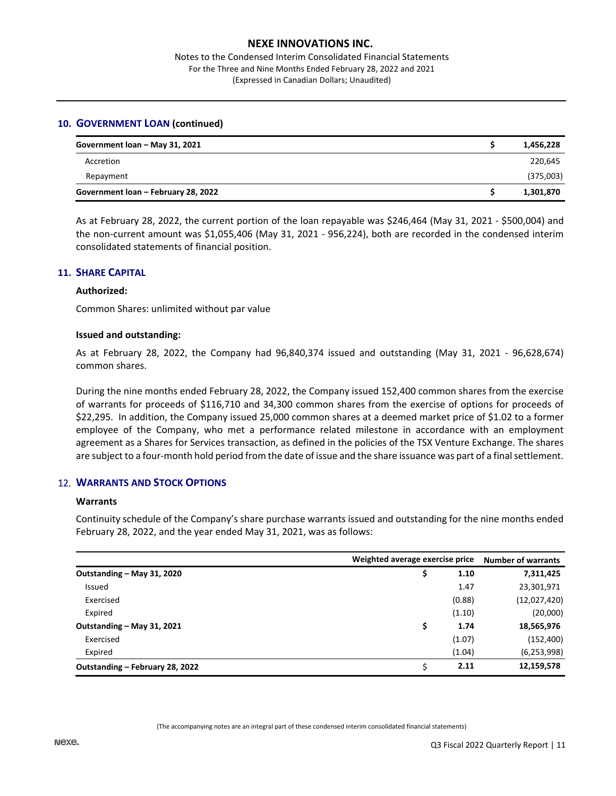Notes to the Condensed Interim Consolidated Financial Statements For the Three and Nine Months Ended February 28, 2022 and 2021 (Expressed in Canadian Dollars; Unaudited)

#### **10. GOVERNMENT LOAN (continued)**

| Government loan - May 31, 2021      | 1,456,228 |
|-------------------------------------|-----------|
| Accretion                           | 220,645   |
| Repayment                           | (375,003) |
| Government loan - February 28, 2022 | 1,301,870 |

As at February 28, 2022, the current portion of the loan repayable was \$246,464 (May 31, 2021 - \$500,004) and the non-current amount was \$1,055,406 (May 31, 2021 - 956,224), both are recorded in the condensed interim consolidated statements of financial position.

## **11. SHARE CAPITAL**

#### **Authorized:**

Common Shares: unlimited without par value

#### **Issued and outstanding:**

As at February 28, 2022, the Company had 96,840,374 issued and outstanding (May 31, 2021 - 96,628,674) common shares.

During the nine months ended February 28, 2022, the Company issued 152,400 common shares from the exercise of warrants for proceeds of \$116,710 and 34,300 common shares from the exercise of options for proceeds of \$22,295. In addition, the Company issued 25,000 common shares at a deemed market price of \$1.02 to a former employee of the Company, who met a performance related milestone in accordance with an employment agreement as a Shares for Services transaction, as defined in the policies of the TSX Venture Exchange. The shares are subject to a four-month hold period from the date of issue and the share issuance was part of a final settlement.

## 12. **WARRANTS AND STOCK OPTIONS**

#### **Warrants**

Continuity schedule of the Company's share purchase warrants issued and outstanding for the nine months ended February 28, 2022, and the year ended May 31, 2021, was as follows:

|                                 | Weighted average exercise price |               |  |  |
|---------------------------------|---------------------------------|---------------|--|--|
| Outstanding - May 31, 2020      | 1.10                            | 7,311,425     |  |  |
| Issued                          | 1.47                            | 23,301,971    |  |  |
| Exercised                       | (0.88)                          | (12,027,420)  |  |  |
| Expired                         | (1.10)                          | (20,000)      |  |  |
| Outstanding - May 31, 2021      | 1.74                            | 18,565,976    |  |  |
| Exercised                       | (1.07)                          | (152, 400)    |  |  |
| Expired                         | (1.04)                          | (6, 253, 998) |  |  |
| Outstanding – February 28, 2022 | 2.11                            | 12,159,578    |  |  |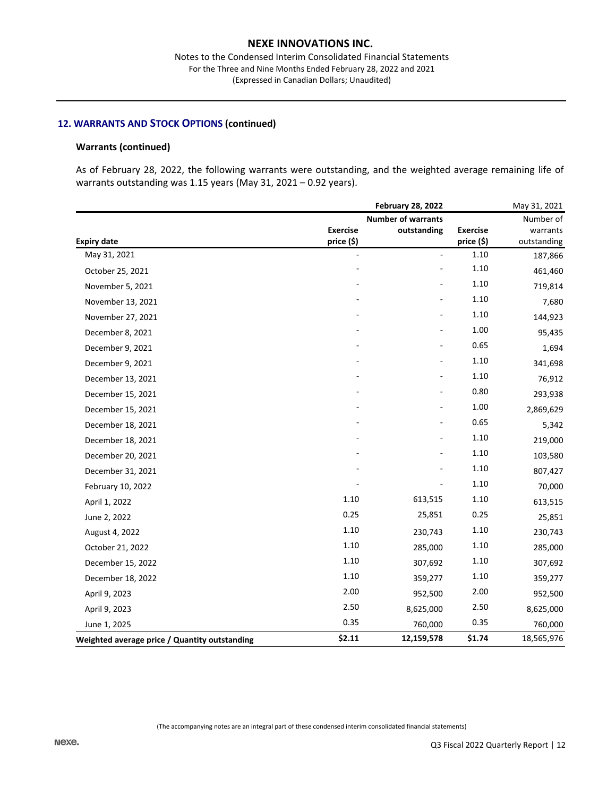## **12. WARRANTS AND STOCK OPTIONS (continued)**

#### **Warrants (continued)**

As of February 28, 2022, the following warrants were outstanding, and the weighted average remaining life of warrants outstanding was 1.15 years (May 31, 2021 – 0.92 years).

|                                               |                 | May 31, 2021              |                 |             |
|-----------------------------------------------|-----------------|---------------------------|-----------------|-------------|
|                                               |                 | <b>Number of warrants</b> |                 | Number of   |
|                                               | <b>Exercise</b> | outstanding               | <b>Exercise</b> | warrants    |
| <b>Expiry date</b>                            | price (\$)      |                           | price (\$)      | outstanding |
| May 31, 2021                                  | ÷,              |                           | 1.10            | 187,866     |
| October 25, 2021                              |                 |                           | 1.10            | 461,460     |
| November 5, 2021                              |                 |                           | 1.10            | 719,814     |
| November 13, 2021                             |                 |                           | 1.10            | 7,680       |
| November 27, 2021                             |                 |                           | 1.10            | 144,923     |
| December 8, 2021                              |                 |                           | 1.00            | 95,435      |
| December 9, 2021                              |                 |                           | 0.65            | 1,694       |
| December 9, 2021                              |                 |                           | 1.10            | 341,698     |
| December 13, 2021                             |                 |                           | 1.10            | 76,912      |
| December 15, 2021                             |                 |                           | 0.80            | 293,938     |
| December 15, 2021                             |                 |                           | 1.00            | 2,869,629   |
| December 18, 2021                             |                 |                           | 0.65            | 5,342       |
| December 18, 2021                             |                 |                           | 1.10            | 219,000     |
| December 20, 2021                             |                 |                           | 1.10            | 103,580     |
| December 31, 2021                             |                 |                           | 1.10            | 807,427     |
| February 10, 2022                             |                 |                           | 1.10            | 70,000      |
| April 1, 2022                                 | 1.10            | 613,515                   | 1.10            | 613,515     |
| June 2, 2022                                  | 0.25            | 25,851                    | 0.25            | 25,851      |
| August 4, 2022                                | 1.10            | 230,743                   | 1.10            | 230,743     |
| October 21, 2022                              | 1.10            | 285,000                   | 1.10            | 285,000     |
| December 15, 2022                             | 1.10            | 307,692                   | 1.10            | 307,692     |
| December 18, 2022                             | 1.10            | 359,277                   | 1.10            | 359,277     |
| April 9, 2023                                 | 2.00            | 952,500                   | 2.00            | 952,500     |
| April 9, 2023                                 | 2.50            | 8,625,000                 | 2.50            | 8,625,000   |
| June 1, 2025                                  | 0.35            | 760,000                   | 0.35            | 760,000     |
| Weighted average price / Quantity outstanding | \$2.11          | 12,159,578                | \$1.74          | 18,565,976  |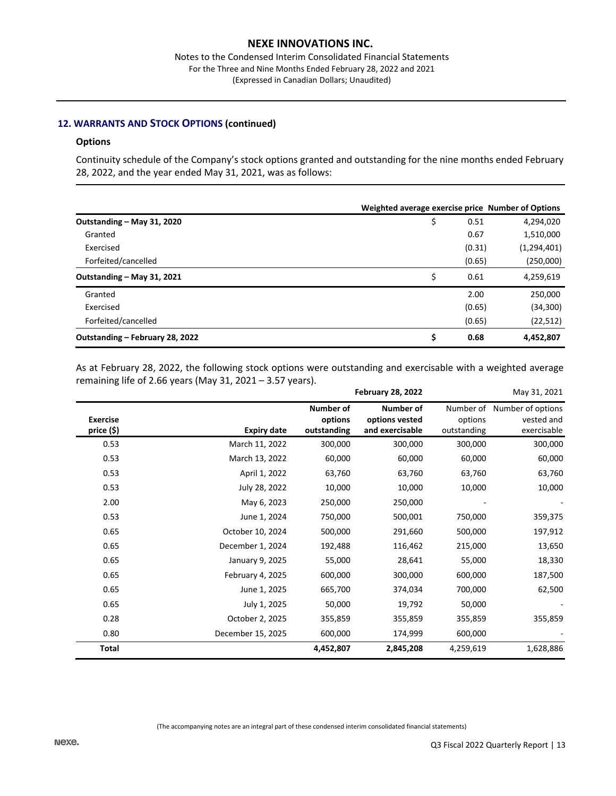## **12. WARRANTS AND STOCK OPTIONS (continued)**

#### **Options**

Continuity schedule of the Company's stock options granted and outstanding for the nine months ended February 28, 2022, and the year ended May 31, 2021, was as follows:

|                                 | Weighted average exercise price Number of Options |        |               |
|---------------------------------|---------------------------------------------------|--------|---------------|
| Outstanding - May 31, 2020      | \$                                                | 0.51   | 4,294,020     |
| Granted                         |                                                   | 0.67   | 1,510,000     |
| Exercised                       |                                                   | (0.31) | (1, 294, 401) |
| Forfeited/cancelled             |                                                   | (0.65) | (250,000)     |
| Outstanding - May 31, 2021      | \$                                                | 0.61   | 4,259,619     |
| Granted                         |                                                   | 2.00   | 250,000       |
| Exercised                       |                                                   | (0.65) | (34, 300)     |
| Forfeited/cancelled             |                                                   | (0.65) | (22, 512)     |
| Outstanding - February 28, 2022 | \$                                                | 0.68   | 4,452,807     |

As at February 28, 2022, the following stock options were outstanding and exercisable with a weighted average remaining life of 2.66 years (May 31, 2021 – 3.57 years).

|                               |                    |                                            | <b>February 28, 2022</b>                              |                        | May 31, 2021                                             |
|-------------------------------|--------------------|--------------------------------------------|-------------------------------------------------------|------------------------|----------------------------------------------------------|
| <b>Exercise</b><br>price (\$) | <b>Expiry date</b> | <b>Number of</b><br>options<br>outstanding | <b>Number of</b><br>options vested<br>and exercisable | options<br>outstanding | Number of Number of options<br>vested and<br>exercisable |
| 0.53                          | March 11, 2022     | 300,000                                    | 300,000                                               | 300,000                | 300,000                                                  |
| 0.53                          | March 13, 2022     | 60,000                                     | 60,000                                                | 60,000                 | 60,000                                                   |
| 0.53                          | April 1, 2022      | 63,760                                     | 63,760                                                | 63,760                 | 63,760                                                   |
| 0.53                          | July 28, 2022      | 10,000                                     | 10,000                                                | 10,000                 | 10,000                                                   |
| 2.00                          | May 6, 2023        | 250,000                                    | 250,000                                               |                        |                                                          |
| 0.53                          | June 1, 2024       | 750,000                                    | 500,001                                               | 750,000                | 359,375                                                  |
| 0.65                          | October 10, 2024   | 500,000                                    | 291,660                                               | 500,000                | 197,912                                                  |
| 0.65                          | December 1, 2024   | 192,488                                    | 116,462                                               | 215,000                | 13,650                                                   |
| 0.65                          | January 9, 2025    | 55,000                                     | 28,641                                                | 55,000                 | 18,330                                                   |
| 0.65                          | February 4, 2025   | 600,000                                    | 300,000                                               | 600,000                | 187,500                                                  |
| 0.65                          | June 1, 2025       | 665,700                                    | 374,034                                               | 700,000                | 62,500                                                   |
| 0.65                          | July 1, 2025       | 50,000                                     | 19,792                                                | 50,000                 |                                                          |
| 0.28                          | October 2, 2025    | 355,859                                    | 355,859                                               | 355,859                | 355,859                                                  |
| 0.80                          | December 15, 2025  | 600,000                                    | 174,999                                               | 600,000                |                                                          |
| <b>Total</b>                  |                    | 4,452,807                                  | 2,845,208                                             | 4,259,619              | 1,628,886                                                |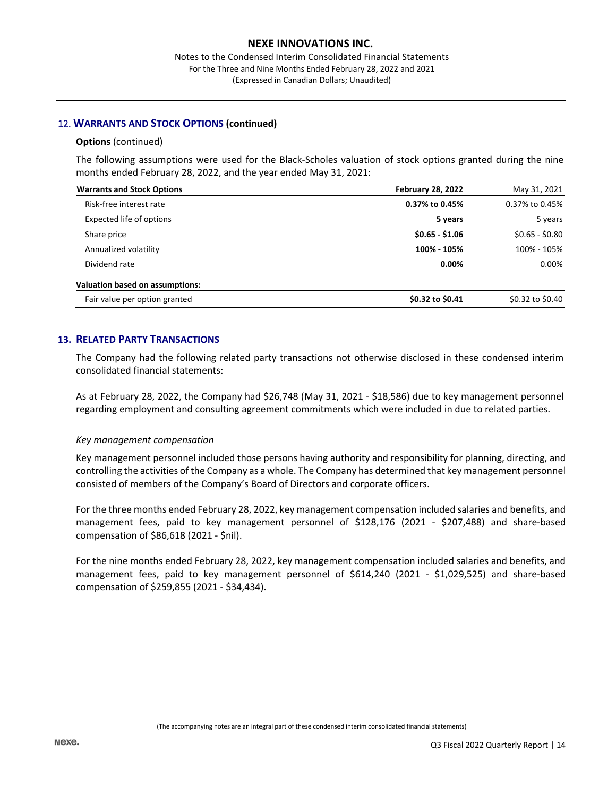## 12. **WARRANTS AND STOCK OPTIONS (continued)**

#### **Options** (continued)

The following assumptions were used for the Black-Scholes valuation of stock options granted during the nine months ended February 28, 2022, and the year ended May 31, 2021:

| <b>Warrants and Stock Options</b>      | <b>February 28, 2022</b> | May 31, 2021     |  |
|----------------------------------------|--------------------------|------------------|--|
| Risk-free interest rate                | 0.37% to 0.45%           | 0.37% to 0.45%   |  |
| Expected life of options               | 5 years                  | 5 years          |  |
| Share price                            | $$0.65 - $1.06$          | $$0.65 - $0.80$  |  |
| Annualized volatility                  | 100% - 105%              | 100% - 105%      |  |
| Dividend rate                          | $0.00\%$                 | 0.00%            |  |
| <b>Valuation based on assumptions:</b> |                          |                  |  |
| Fair value per option granted          | \$0.32 to \$0.41         | \$0.32 to \$0.40 |  |

## **13. RELATED PARTY TRANSACTIONS**

The Company had the following related party transactions not otherwise disclosed in these condensed interim consolidated financial statements:

As at February 28, 2022, the Company had \$26,748 (May 31, 2021 - \$18,586) due to key management personnel regarding employment and consulting agreement commitments which were included in due to related parties.

## *Key management compensation*

Key management personnel included those persons having authority and responsibility for planning, directing, and controlling the activities of the Company as a whole. The Company has determined that key management personnel consisted of members of the Company's Board of Directors and corporate officers.

For the three months ended February 28, 2022, key management compensation included salaries and benefits, and management fees, paid to key management personnel of \$128,176 (2021 - \$207,488) and share-based compensation of \$86,618 (2021 - \$nil).

For the nine months ended February 28, 2022, key management compensation included salaries and benefits, and management fees, paid to key management personnel of \$614,240 (2021 - \$1,029,525) and share-based compensation of \$259,855 (2021 - \$34,434).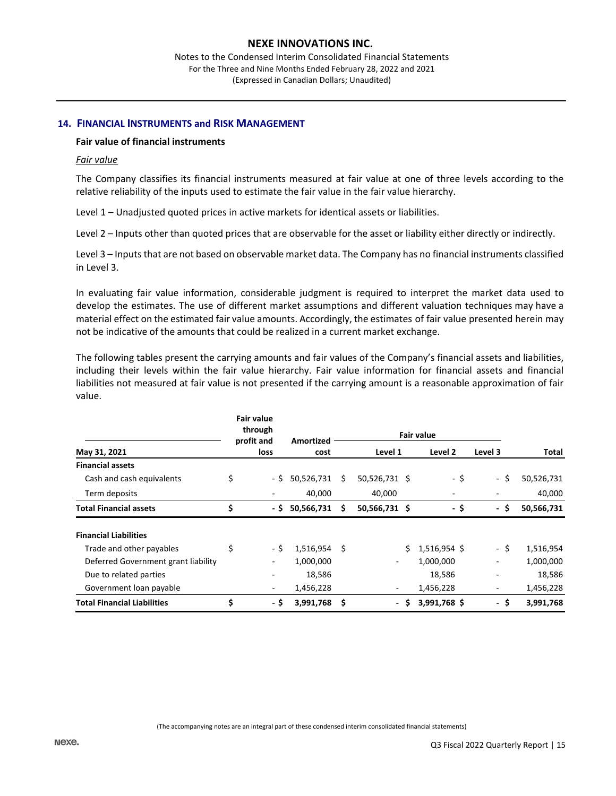Notes to the Condensed Interim Consolidated Financial Statements For the Three and Nine Months Ended February 28, 2022 and 2021 (Expressed in Canadian Dollars; Unaudited)

#### **14. FINANCIAL INSTRUMENTS and RISK MANAGEMENT**

#### **Fair value of financial instruments**

#### *Fair value*

The Company classifies its financial instruments measured at fair value at one of three levels according to the relative reliability of the inputs used to estimate the fair value in the fair value hierarchy.

Level 1 – Unadjusted quoted prices in active markets for identical assets or liabilities.

Level 2 – Inputs other than quoted prices that are observable for the asset or liability either directly or indirectly.

Level 3 – Inputs that are not based on observable market data. The Company has no financial instruments classified in Level 3.

In evaluating fair value information, considerable judgment is required to interpret the market data used to develop the estimates. The use of different market assumptions and different valuation techniques may have a material effect on the estimated fair value amounts. Accordingly, the estimates of fair value presented herein may not be indicative of the amounts that could be realized in a current market exchange.

The following tables present the carrying amounts and fair values of the Company's financial assets and liabilities, including their levels within the fair value hierarchy. Fair value information for financial assets and financial liabilities not measured at fair value is not presented if the carrying amount is a reasonable approximation of fair value.

|                                     | <b>Fair value</b><br>through<br>profit and<br>loss |      | Amortized      | <b>Fair value</b> |                |         |              |                          |            |
|-------------------------------------|----------------------------------------------------|------|----------------|-------------------|----------------|---------|--------------|--------------------------|------------|
| May 31, 2021                        |                                                    |      | cost           | Level 1           |                | Level 2 | Level 3      | Total                    |            |
| <b>Financial assets</b>             |                                                    |      |                |                   |                |         |              |                          |            |
| Cash and cash equivalents           | \$                                                 | - \$ | 50,526,731     | S                 | 50,526,731 \$  |         | - \$         | - \$                     | 50,526,731 |
| Term deposits                       |                                                    | ٠    | 40,000         |                   | 40,000         |         | ٠            |                          | 40,000     |
| <b>Total Financial assets</b>       | \$                                                 | - \$ | 50,566,731     | s                 | 50,566,731 \$  |         | - \$         | - \$                     | 50,566,731 |
| <b>Financial Liabilities</b>        |                                                    |      |                |                   |                |         |              |                          |            |
| Trade and other payables            | \$                                                 | - \$ | $1,516,954$ \$ |                   |                | Ŝ.      | 1,516,954 \$ | - \$                     | 1,516,954  |
| Deferred Government grant liability |                                                    | -    | 1,000,000      |                   |                |         | 1,000,000    | $\overline{\phantom{a}}$ | 1,000,000  |
| Due to related parties              |                                                    | ۰    | 18,586         |                   |                |         | 18,586       | $\overline{\phantom{0}}$ | 18,586     |
| Government loan payable             |                                                    | ۰.   | 1,456,228      |                   |                |         | 1,456,228    | $\overline{a}$           | 1,456,228  |
| <b>Total Financial Liabilities</b>  | \$                                                 | - \$ | 3,991,768 \$   |                   | $\blacksquare$ | Ŝ.      | 3,991,768 \$ | - \$                     | 3,991,768  |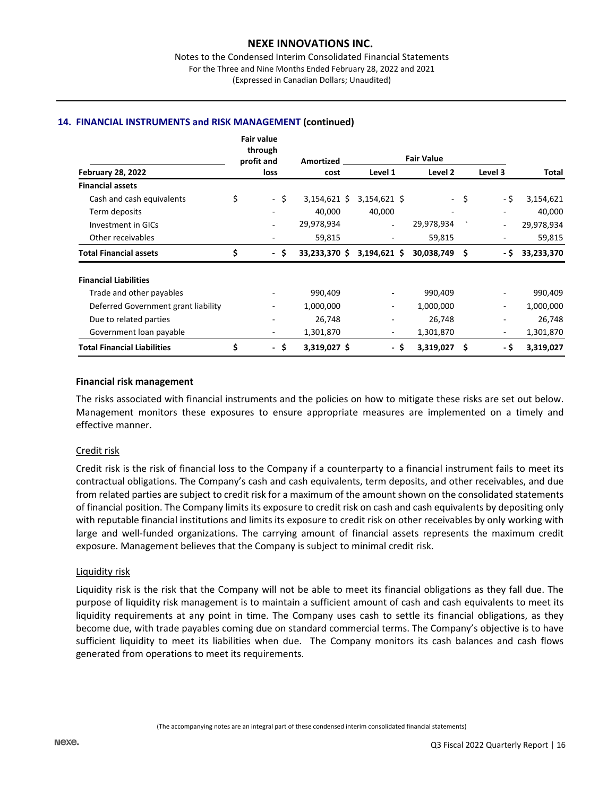## **14. FINANCIAL INSTRUMENTS and RISK MANAGEMENT (continued)**

|                                     |    | <b>Fair value</b><br>through    |                |                              |                          |      |                          |            |
|-------------------------------------|----|---------------------------------|----------------|------------------------------|--------------------------|------|--------------------------|------------|
|                                     |    | profit and<br>loss              | Amortized      | <b>Fair Value</b><br>Level 2 |                          |      | Level 3                  |            |
| <b>February 28, 2022</b>            |    |                                 | cost           | Level 1                      |                          |      |                          | Total      |
| <b>Financial assets</b>             |    |                                 |                |                              |                          |      |                          |            |
| Cash and cash equivalents           | \$ | -\$                             | $3,154,621$ \$ | $3,154,621$ \$               |                          | - \$ | - \$                     | 3,154,621  |
| Term deposits                       |    |                                 | 40,000         | 40,000                       | $\overline{\phantom{a}}$ |      |                          | 40,000     |
| Investment in GICs                  |    | $\overline{\phantom{a}}$        | 29,978,934     | ٠                            | 29,978,934               |      | $\overline{\phantom{a}}$ | 29,978,934 |
| Other receivables                   |    | ۰                               | 59,815         | $\overline{\phantom{a}}$     | 59,815                   |      | $\overline{\phantom{a}}$ | 59,815     |
| <b>Total Financial assets</b>       | \$ | \$.<br>$\overline{\phantom{0}}$ | 33,233,370 \$  | $3,194,621$ \$               | 30,038,749               | \$   | - \$                     | 33,233,370 |
| <b>Financial Liabilities</b>        |    |                                 |                |                              |                          |      |                          |            |
| Trade and other payables            |    |                                 | 990,409        | $\overline{\phantom{a}}$     | 990,409                  |      | $\overline{\phantom{a}}$ | 990,409    |
| Deferred Government grant liability |    |                                 | 1,000,000      | $\overline{\phantom{a}}$     | 1,000,000                |      | $\overline{\phantom{a}}$ | 1,000,000  |
| Due to related parties              |    |                                 | 26,748         | ۰                            | 26,748                   |      | $\overline{\phantom{0}}$ | 26,748     |
| Government loan payable             |    | $\overline{\phantom{0}}$        | 1,301,870      | ٠                            | 1,301,870                |      | $\overline{\phantom{a}}$ | 1,301,870  |
| <b>Total Financial Liabilities</b>  | \$ | -\$                             | 3,319,027 \$   | - \$                         | 3,319,027                | \$   | - \$                     | 3,319,027  |

#### **Financial risk management**

The risks associated with financial instruments and the policies on how to mitigate these risks are set out below. Management monitors these exposures to ensure appropriate measures are implemented on a timely and effective manner.

## Credit risk

Credit risk is the risk of financial loss to the Company if a counterparty to a financial instrument fails to meet its contractual obligations. The Company's cash and cash equivalents, term deposits, and other receivables, and due from related parties are subject to credit risk for a maximum of the amount shown on the consolidated statements of financial position. The Company limits its exposure to credit risk on cash and cash equivalents by depositing only with reputable financial institutions and limits its exposure to credit risk on other receivables by only working with large and well-funded organizations. The carrying amount of financial assets represents the maximum credit exposure. Management believes that the Company is subject to minimal credit risk.

#### Liquidity risk

Liquidity risk is the risk that the Company will not be able to meet its financial obligations as they fall due. The purpose of liquidity risk management is to maintain a sufficient amount of cash and cash equivalents to meet its liquidity requirements at any point in time. The Company uses cash to settle its financial obligations, as they become due, with trade payables coming due on standard commercial terms. The Company's objective is to have sufficient liquidity to meet its liabilities when due. The Company monitors its cash balances and cash flows generated from operations to meet its requirements.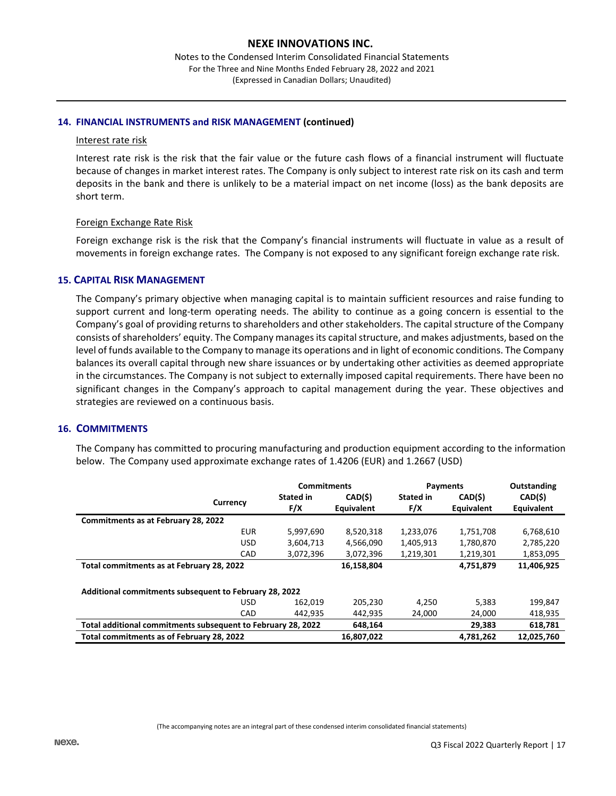Notes to the Condensed Interim Consolidated Financial Statements For the Three and Nine Months Ended February 28, 2022 and 2021 (Expressed in Canadian Dollars; Unaudited)

#### **14. FINANCIAL INSTRUMENTS and RISK MANAGEMENT (continued)**

#### Interest rate risk

Interest rate risk is the risk that the fair value or the future cash flows of a financial instrument will fluctuate because of changes in market interest rates. The Company is only subject to interest rate risk on its cash and term deposits in the bank and there is unlikely to be a material impact on net income (loss) as the bank deposits are short term.

#### Foreign Exchange Rate Risk

Foreign exchange risk is the risk that the Company's financial instruments will fluctuate in value as a result of movements in foreign exchange rates. The Company is not exposed to any significant foreign exchange rate risk.

#### **15. CAPITAL RISK MANAGEMENT**

The Company's primary objective when managing capital is to maintain sufficient resources and raise funding to support current and long-term operating needs. The ability to continue as a going concern is essential to the Company's goal of providing returns to shareholders and other stakeholders. The capital structure of the Company consists of shareholders' equity. The Company manages its capital structure, and makes adjustments, based on the level of funds available to the Company to manage its operations and in light of economic conditions. The Company balances its overall capital through new share issuances or by undertaking other activities as deemed appropriate in the circumstances. The Company is not subject to externally imposed capital requirements. There have been no significant changes in the Company's approach to capital management during the year. These objectives and strategies are reviewed on a continuous basis.

## **16. COMMITMENTS**

The Company has committed to procuring manufacturing and production equipment according to the information below. The Company used approximate exchange rates of 1.4206 (EUR) and 1.2667 (USD)

|                                                              |            | <b>Commitments</b> |            | Payments         | Outstanding |            |  |
|--------------------------------------------------------------|------------|--------------------|------------|------------------|-------------|------------|--|
|                                                              |            | <b>Stated in</b>   | CAD(\$)    | <b>Stated in</b> | CAD(\$)     | CAD(\$)    |  |
|                                                              | Currency   | F/X                | Equivalent | F/X              | Equivalent  | Equivalent |  |
| Commitments as at February 28, 2022                          |            |                    |            |                  |             |            |  |
|                                                              | <b>EUR</b> | 5,997,690          | 8,520,318  | 1,233,076        | 1,751,708   | 6,768,610  |  |
|                                                              | <b>USD</b> | 3,604,713          | 4,566,090  | 1,405,913        | 1,780,870   | 2,785,220  |  |
|                                                              | CAD        | 3,072,396          | 3,072,396  | 1,219,301        | 1,219,301   | 1,853,095  |  |
| Total commitments as at February 28, 2022                    |            | 16,158,804         |            | 4.751.879        | 11,406,925  |            |  |
| Additional commitments subsequent to February 28, 2022       |            |                    |            |                  |             |            |  |
|                                                              | <b>USD</b> | 162.019            | 205.230    | 4,250            | 5.383       | 199,847    |  |
|                                                              | CAD        | 442.935            | 442,935    | 24,000           | 24,000      | 418,935    |  |
| Total additional commitments subsequent to February 28, 2022 |            |                    | 648,164    |                  | 29,383      | 618,781    |  |
| Total commitments as of February 28, 2022                    |            |                    | 16,807,022 |                  | 4,781,262   | 12,025,760 |  |